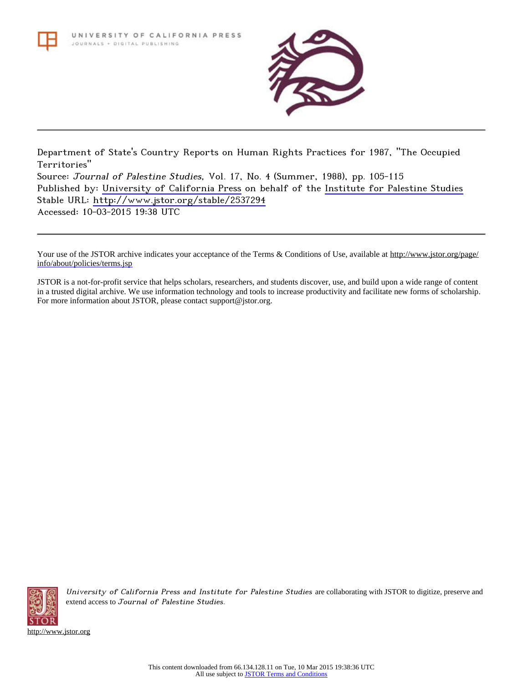

Department of State's Country Reports on Human Rights Practices for 1987, "The Occupied Territories" Source: Journal of Palestine Studies, Vol. 17, No. 4 (Summer, 1988), pp. 105-115 Published by: [University of California Press](http://www.jstor.org/action/showPublisher?publisherCode=ucal) on behalf of the [Institute for Palestine Studies](http://www.jstor.org/action/showPublisher?publisherCode=palstud) Stable URL: <http://www.jstor.org/stable/2537294> Accessed: 10-03-2015 19:38 UTC

Your use of the JSTOR archive indicates your acceptance of the Terms & Conditions of Use, available at [http://www.jstor.org/page/](http://www.jstor.org/page/info/about/policies/terms.jsp) [info/about/policies/terms.jsp](http://www.jstor.org/page/info/about/policies/terms.jsp)

JSTOR is a not-for-profit service that helps scholars, researchers, and students discover, use, and build upon a wide range of content in a trusted digital archive. We use information technology and tools to increase productivity and facilitate new forms of scholarship. For more information about JSTOR, please contact support@jstor.org.



University of California Press and Institute for Palestine Studies are collaborating with JSTOR to digitize, preserve and extend access to Journal of Palestine Studies.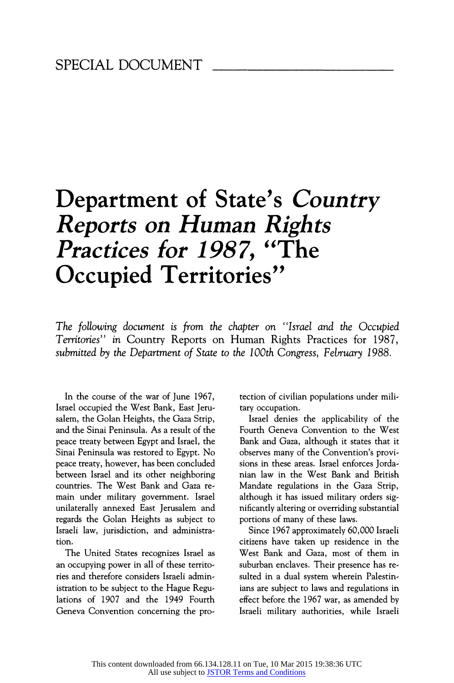# Department of State's Country Reports on Human Rights Practices for 1987, "The Occupied Territories"

The following document is from the chapter on "Israel and the Occupied Territories" in Country Reports on Human Rights Practices for 1987, submitted by the Department of State to the 100th Congress, February 1988.

In the course of the war of June 1967, Israel occupied the West Bank, East Jerusalem, the Golan Heights, the Gaza Strip, and the Sinai Peninsula. As a result of the peace treaty between Egypt and Israel, the Sinai Peninsula was restored to Egypt. No peace treaty, however, has been concluded between Israel and its other neighboring countries. The West Bank and Gaza remain under military government. Israel unilaterally annexed East Jerusalem and regards the Golan Heights as subject to Israeli law, jurisdiction, and administration.

The United States recognizes Israel as an occupying power in all of these territories and therefore considers Israeli administration to be subject to the Hague Regulations of 1907 and the 1949 Fourth Geneva Convention concerning the protection of civilian populations under military occupation.

Israel denies the applicability of the Fourth Geneva Convention to the West Bank and Gaza, although it states that it observes many of the Convention's provisions in these areas. Israel enforces Jordanian law in the West Bank and British Mandate regulations in the Gaza Strip, although it has issued military orders significantly altering or overriding substantial portions of many of these laws.

Since 1967 approximately 60,000 Israeli citizens have taken up residence in the West Bank and Gaza, most of them in suburban enclaves. Their presence has resulted in a dual system wherein Palestinians are subject to laws and regulations in effect before the 1967 war, as amended by Israeli military authorities, while Israeli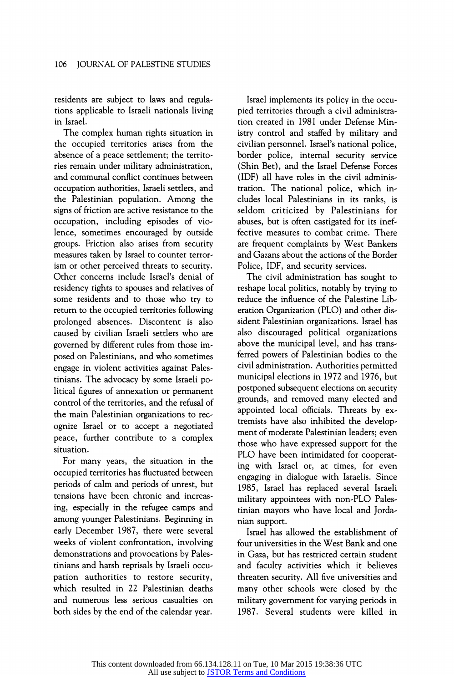residents are subject to laws and regulations applicable to Israeli nationals living in Israel.

The complex human rights situation in the occupied territories arises from the absence of a peace settlement; the territories remain under military administration, and communal conflict continues between occupation authorities, Israeli settlers, and the Palestinian population. Among the signs of friction are active resistance to the occupation, including episodes of violence, sometimes encouraged by outside groups. Friction also arises from security measures taken by Israel to counter terrorism or other perceived threats to security. Other concems include Israel's denial of residency rights to spouses and relatives of some residents and to those who try to return to the occupied territories following prolonged absences. Discontent is also caused by civilian Israeli settlers who are governed by different rules from those imposed on Palestinians, and who sometimes engage in violent activities against Palestinians. The advocacy by some Israeli political figures of annexation or permanent control of the territories, and the refusal of the main Palestinian organizations to recognize Israel or to accept a negotiated peace, further contribute to a complex situation.

For many years, the situation in the occupied territories has fluctuated between periods of calm and periods of unrest, but tensions have been chronic and increasing, especially in the refugee camps and among younger Palestinians. Beginning in early December 1987, there were several weeks of violent confrontation, involving demonstrations and provocations by Palestinians and harsh reprisals by Israeli occupation authorities to restore security, which resulted in 22 Palestinian deaths and numerous less serious casualties on both sides by the end of the calendar year.

Israel implements its policy in the occupied territories through a civil administration created in 1981 under Defense Ministry control and staffed by military and civilian personnel. Israel's national police, border police, internal security service (Shin Bet), and the Israel Defense Forces (IDF) all have roles in the civil administration. The national police, which includes local Palestinians in its ranks, is seldom criticized by Palestinians for abuses, but is often castigated for its ineffective measures to combat crime. There are frequent complaints by West Bankers and Gazans about the actions of the Border Police, IDF, and security services.

The civil administration has sought to reshape local politics, notably by trying to reduce the influence of the Palestine Liberation Organization (PLO) and other dissident Palestinian organizations. Israel has also discouraged political organizations above the municipal level, and has transferred powers of Palestinian bodies to the civil administration. Authorities permitted municipal elections in 1972 and 1976, but postponed subsequent elections on security grounds, and removed many elected and appointed local officials. Threats by extremists have also inhibited the development of moderate Palestinian leaders; even those who have expressed support for the PLO have been intimidated for cooperating with Israel or, at times, for even engaging in dialogue with Israelis. Since 1985, Israel has replaced several Israeli military appointees with non-PLO Palestinian mayors who have local and Jordanian support.

Israel has allowed the establishment of four universities in the West Bank and one in Gaza, but has restricted certain student and faculty activities which it believes threaten security. All five universities and many other schools were closed by the military government for varying periods in 1987. Several students were killed in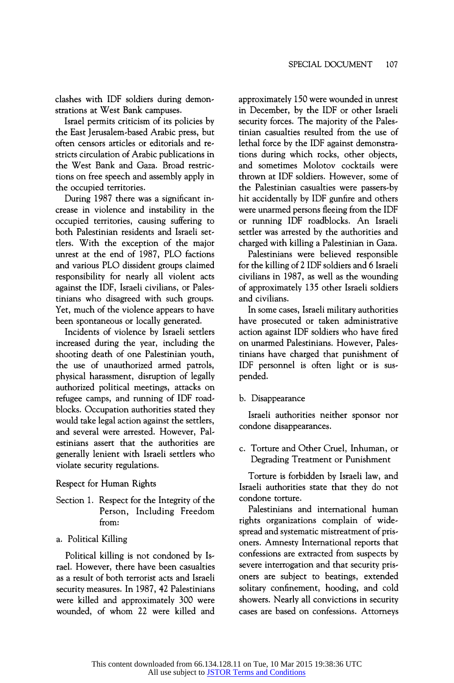clashes with IDF soldiers during demonstrations at West Bank campuses.

Israel permits criticism of its policies by the East Jerusalem-based Arabic press, but often censors articles or editorials and restricts circulation of Arabic publications in the West Bank and Gaza. Broad restrictions on free speech and assembly apply in the occupied territories.

During 1987 there was a significant increase in violence and instability in the occupied territories, causing suffering to both Palestinian residents and Israeli settlers. With the exception of the major unrest at the end of 1987, PLO factions and various PLO dissident groups claimed responsibility for nearly all violent acts against the IDF, Israeli civilians, or Palestinians who disagreed with such groups. Yet, much of the violence appears to have been spontaneous or locally generated.

Incidents of violence by Israeli settlers increased during the year, including the shooting death of one Palestinian youth, the use of unauthorized armed patrols, physical harassment, disruption of legally authorized political meetings, attacks on refugee camps, and running of IDF roadblocks. Occupation authorities stated they would take legal action against the settlers, and several were arrested. However, Palestinians assert that the authorities are generally lenient with Israeli settlers who violate security regulations.

#### Respect for Human Rights

- Section 1. Respect for the Integrity of the Person, Including Freedom from:
- a. Political Killing

Political killing is not condoned by Israel. However, there have been casualties as a result of both terrorist acts and Israeli security measures. In 1987, 42 Palestinians were killed and approximately 300 were wounded, of whom 22 were killed and approximately 150were wounded in unrest in December, by the IDF or other Israeli security forces. The majority of the Palestinian casualties resulted from the use of lethal force by the IDF against demonstrations during which rocks, other objects, and sometimes Molotov cocktails were thrown at IDF soldiers. However, some of the Palestinian casualties were passers-by hit accidentally by IDF gunfire and others were unarmed persons fleeing from the IDF or running IDF roadblocks. An Israeli settler was arrested by the authorities and charged with killing a Palestinian in Gaza.

Palestinians were believed responsible for the killing of 2 IDF soldiers and 6 Israeli civilians in 1987, as well as the wounding of approximately 135 other Israeli soldiers and civilians.

In some cases, Israeli military authorities have prosecuted or taken administrative action against IDF soldiers who have fired on unarmed Palestinians. However, Palestinians have charged that punishment of IDF personnel is often light or is suspended.

b. Disappearance

Israeli authorities neither sponsor nor condone disappearances.

c. Torture and Other Cruel, Inhuman, or Degrading Treatment or Punishment

Torture is forbidden by Israeli law, and Israeli authorities state that they do not condone torture.

Palestinians and intemational human rights organizations complain of widespread and systematic mistreatment of prisoners. Amnesty International reports that confessions are extracted from suspects by severe interrogation and that security prisoners are subject to beatings, extended solitary confinement, hooding, and cold showers. Nearly all convictions in security cases are based on confessions. Attorneys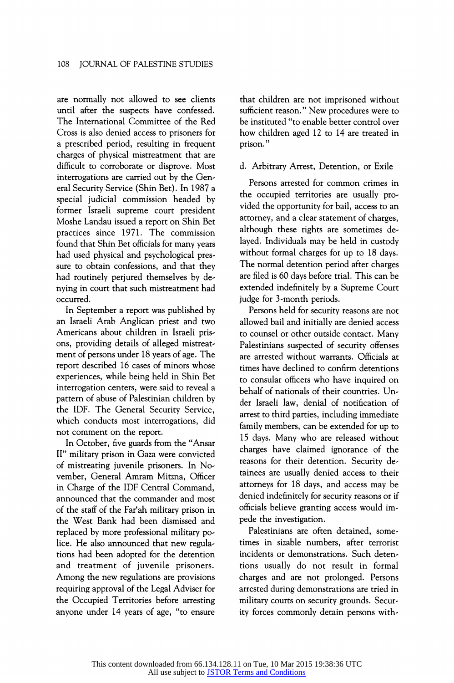are normally not allowed to see clients until after the suspects have confessed. The Intemational Committee of the Red Cross is also denied access to prisoners for a prescribed period, resulting in frequent charges of physical mistreatment that are difficult to corroborate or disprove. Most interrogations are carried out by the General Security Service (Shin Bet). In 1987 a special judicial commission headed by former Israeli supreme court president Moshe Landau issued areport on Shin Bet practices since 1971. The commission found that Shin Bet officials for many years had used physical and psychological pressure to obtain confessions, and that they had routinely perjured themselves by denying in court that such mistreatment had occurred.

In September a report was published by an Israeli Arab Anglican priest and two Americans about children in Israeli prisons, providing details of alleged mistreatment of persons under 18 years of age. The report described 16 cases of minors whose experiences, while being held in Shin Bet interrogation centers, were said to reveal a pattern of abuse of Palestinian children by the IDF. The General Security Service, which conducts most interrogations, did not comment on the report.

In October, five guards from the "Ansar II" military prison in Gaza were convicted of mistreating juvenile prisoners. In November, General Amram Mitzna, Officer in Charge of the IDF Central Command, announced that the commander and most of the staff of the Far'ah military prison in the West Bank had been dismissed and replaced by more professional military police. He also announced that new regulations had been adopted for the detention and treatment of juvenile prisoners. Among the new regulations are provisions requiring approval of the Legal Adviser for the Occupied Territories before arresting anyone under 14 years of age, "to ensure

that children are not imprisoned without sufficient reason." New procedures were to be instituted "to enable better control over how children aged 12 to 14 are treated in prison."

#### d. Arbitrary Arrest, Detention, or Exile

Persons arrested for common crimes in the occupied territories are usually provided the opportunity for bail, access to an attorney, and a clear statement of charges, although these rights are sometimes delayed. Individuals may be held in custody without formal charges for up to 18 days. The normal detention period after charges are filed is 60 days before trial. This can be extended indefinitely by a Supreme Court judge for 3-month periods.

Persons held for security reasons are not allowed bail and initially are denied access to counsel or other outside contact. Many Palestinians suspected of security offenses are arrested without warrants. Officials at times have declined to confirm detentions to consular officers who have inquired on behalf of nationals of their countries. Under Israeli law, denial of notification of arrest to third parties, including immediate family members, can be extended for up to 15 days. Many who are released without charges have claimed ignorance of the reasons for their detention. Security detainees are usually denied access to their attorneys for 18 days, and access may be denied indefinitely for security reasons or if officials believe granting access would impede the investigation.

Palestinians are often detained, sometimes in sizable numbers, after terrorist incidents or demonstrations. Such detentions usually do not result in formal charges and are not prolonged. Persons arrested during demonstrations are tried in military courts on security grounds. Security forces commonly detain persons with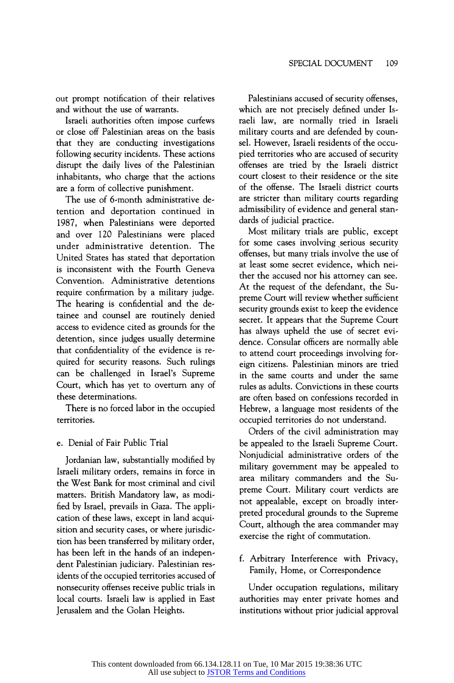out prompt notification of their relatives and without the use of warrants.

Israeli authorities often impose curfews or close off Palestinian areas on the basis that they are conducting investigations following security incidents. These actions disrupt the daily lives of the Palestinian inhabitants, who charge that the actions are a form of collective punishment.

The use of 6-month administrative detention and deportation continued in 1987, when Palestinians were deported and over 120 Palestinians were placed under administrative detention. The United States has stated that deportation is inconsistent with the Fourth Geneva Convention. Administrative detentions require confirmation by a military judge. The hearing is confidential and the detainee and counsel are routinely denied access to evidence cited as grounds for the detention, since judges usually determine that confidentiality of the evidence is required for security reasons. Such rulings can be challenged in Israel's Supreme Court, which has yet to overtum any of these determinations.

There is no forced labor in the occupied territories.

## e. Denial of Fair Public Trial

Jordanian law, substantially modified by Israeli military orders, remains in force in the West Bank for most criminal and civil matters. British Mandatory law, as modified by Israel, prevails in Gaza. The application of these laws, except in land acquisition and security cases, or where jurisdiction has been transferred by military order, has been left in the hands of an independent Palestinian judiciary. Palestinian residents of the occupied territories accused of nonsecurity offenses receive public trials in local courts. Israeli law is applied in East Jerusalem and the Golan Heights.

Palestinians accused of security offenses, which are not precisely defined under Israeli law, are normally tried in Israeli military courts and are defended by counsel. However, Israeli residents of the occupied territories who are accused of security offenses are tried by the Israeli district court closest to their residence or the site of the offense. The Israeli district courts are stricter than military courts regarding admissibility of evidence and general standards of judicial practice.

Most military trials are public, except for some cases involving serious security offenses, but many trials involve the use of at least some secret evidence, which neither the accused nor his attomey can see. At the request of the defendant, the Supreme Court will review whether sufficient security grounds exist to keep the evidence secret. It appears that the Supreme Court has always upheld the use of secret evidence. Consular officers are normally able to attend court proceedings involving foreign citizens. Palestinian minors are tried in the same courts and under the same rules as adults. Convictions in these courts are often based on confessions recorded in Hebrew, a language most residents of the occupied territories do not understand.

Orders of the civil administration may be appealed to the Israeli Supreme Court. Nonjudicial administrative orders of the military government may be appealed to area military commanders and the Supreme Court. Military court verdicts are not appealable, except on broadly interpreted procedural grounds to the Supreme Court, although the area commander may exercise the right of commutation.

f. Arbitrary Interference with Privacy, Family, Home, or Correspondence

Under occupation regulations, military authorities may enter private homes and institutions without prior judicial approval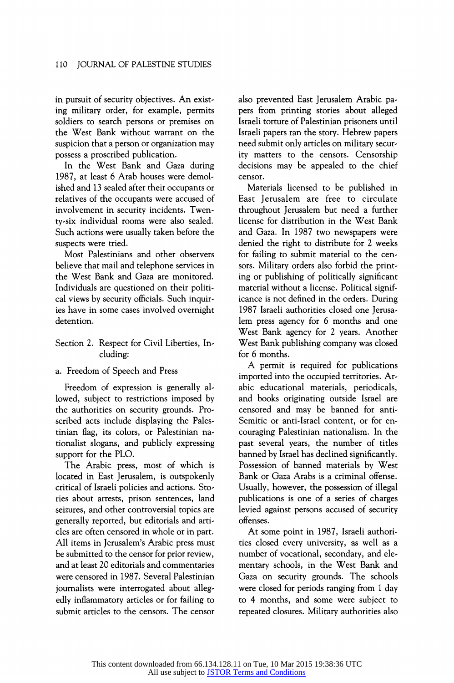in pursuit of security objectives. An existing military order, for example, permits soldiers to search persons or premises on the West Bank without warrant on the suspicion that a person or organization may possess a proscribed publication.

In the West Bank and Gaza during 1987, at least 6 Arab houses were demolished and 13 sealed after their occupants or relatives of the occupants were accused of involvement in security incidents. Twenty-six individual rooms were also sealed. Such actions were usually taken before the suspects were tried.

Most Palestinians and other observers believe that mail and telephone services in the West Bank and Gaza are monitored. Individuals are questioned on their political views by security officials. Such inquiries have in some cases involved ovemight detention.

#### Section 2. Respect for Civil Liberties, Including:

#### a. Freedom of Speech and Press

Freedom of expression is generally allowed, subject to restrictions imposed by the authorities on security grounds. Proscribed acts include displaying the Palestinian flag, its colors, or Palestinian nationalist slogans, and publicly expressing support for the PLO.

The Arabic press, most of which is located in East Jerusalem, is outspokenly critical of Israeli policies and actions. Stories about arrests, prison sentences, land seizures, and other controversial topics are generally reported, but editorials and articles are often censored in whole or in part. All items in Jerusalem's Arabic press must be submitted to the censor for prior review, and at least 20 editorials and commentaries were censored in 1987. Several Palestinian joumalists were interrogated about allegedly inflammatory articles or for failing to submit articles to the censors. The censor also prevented East Jerusalem Arabic papers from printing stories about alleged Israeli torture of Palestinian prisoners until Israeli papers ran the story. Hebrew papers need submit only articles on military security matters to the censors. Censorship decisions may be appealed to the chief censor.

Materials licensed to be published in East Jerusalem are free to circulate throughout Jerusalem but need a further license for distribution in the West Bank and Gaza. In 1987 two newspapers were denied the right to distribute for 2 weeks for failing to submit material to the censors. Military orders also forbid the printing or publishing of politically significant material without alicense. Political significance is not defined in the orders. During 1987 Israeli authorities closed one Jerusalem press agency for 6 months and one West Bank agency for 2 years. Another West Bank publishing company was closed for 6 months.

A permit is required for publications imported into the occupied territories. Arabic educational materials, periodicals, and books originating outside Israel are censored and may be banned for anti-Semitic or anti-Israel content, or for encouraging Palestinian nationalism. In the past several years, the number of titles banned by Israel has declined significantly. Possession of banned materials by West Bank or Gaza Arabs is a criminal offense. Usually, however, the possession of illegal publications is one of a series of charges levied against persons accused of security offenses.

At some point in 1987, Israeli authorities closed every university, as well as a number of vocational, secondary, and elementary schools, in the West Bank and Gaza on security grounds. The schools were closed for periods ranging from 1 day to 4 months, and some were subject to repeated closures. Military authorities also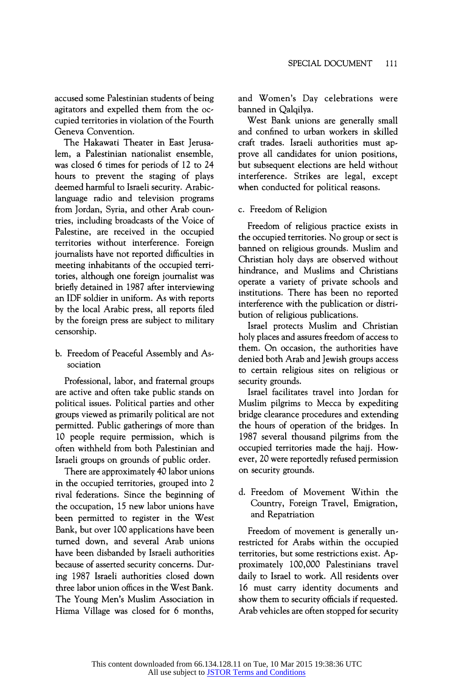accused some Palestinian students of being agitators and expelled them from the occupied territories in violation of the Fourth Geneva Convention.

The Hakawati Theater in East Jerusalem, a Palestinian nationalist ensemble, was closed 6 times for periods of 12 to 24 hours to prevent the staging of plays deemed harmful to Israeli security. Arabiclanguage radio and television programs from Jordan, Syria, and other Arab countries, including broadcasts of the Voice of Palestine, are received in the occupied territories without interference. Foreign joumalists have not reported difficulties in meeting inhabitants of the occupied territories, although one foreign joumalist was briefly detained in 1987 after interviewing an IDF soldier in uniform. As with reports by the local Arabic press, all reports filed by the foreign press are subject to military censorship.

b. Freedom of Peaceful Assembly and Association

Professional, labor, and fratemal groups are active and often take public stands on political issues. Political parties and other groups viewed as primarily political are not permitted. Public gatherings of more than 10 people require permission, which is often withheld from both Palestinian and Israeli groups on grounds of public order.

There are approximately 40 labor unions in the occupied territories, grouped into 2 rival federations. Since the beginning of the occupation, 15 new labor unions have been permitted to register in the West Bank, but over 100 applications have been tumed down, and several Arab unions have been disbanded by Israeli authorities because of asserted security concems. During 1987 Israeli authorities closed down three labor union offices in the West Bank. The Young Men's Muslim Association in Hizma Village was closed for 6 months, and Women's Day celebrations were banned in Qalqilya.

West Bank unions are generally small and confined to urban workers in skilled craft trades. Israeli authorities must approve all candidates for union positions, but subsequent elections are held without interference. Strikes are legal, except when conducted for political reasons.

## c. Freedom of Religion

Freedom of religious practice exists in the occupied territories. No group or sect is banned on religious grounds. Muslim and Christian holy days are observed without hindrance, and Muslims and Christians operate a variety of private schools and institutions. There has been no reported interference with the publication or distribution of religious publications.

Israel protects Muslim and Christian holy places and assures freedom of access to them. On occasion, the authorities have denied both Arab and Jewish groups access to certain religious sites on religious or security grounds.

Israel facilitates travel into Jordan for Muslim pilgrims to Mecca by expediting bridge clearance procedures and extending the hours of operation of the bridges. In 1987 several thousand pilgrims from the occupied territories made the hajj. However, 20 were reportedly refused permission on security grounds.

d. Freedom of Movement Within the Country, Foreign Travel, Emigration, and Repatriation

Freedom of movement is generally unrestricted for Arabs within the occupied territories, but some restrictions exist. Approximately 100,000 Palestinians travel daily to Israel to work. All residents over 16 must carry identity documents and show them to security officials if requested. Arab vehicles are often stopped for security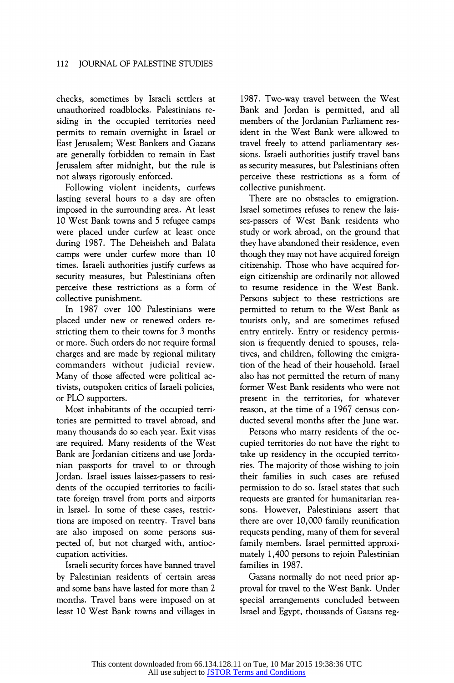checks, sometimes by Israeli settlers at unauthorized roadblocks. Palestinians residing in the occupied territories need permits to remain ovemight in Israel or East Jerusalem; West Bankers and Gazans are generally forbidden to remain in East Jerusalem after midnight, but the rule is not always rigorously enforced.

Following violent incidents, curfews lasting several hours to a day are often imposed in the surrounding area. At least 10 West Bank towns and 5 refugee camps were placed under curfew at least once during 1987. The Deheisheh and Balata camps were under curfew more than 10 times. Israeli authorities justify curfews as security measures, but Palestinians often perceive these restrictions as a form of collective punishment.

In 1987 over 100 Palestinians were placed under new or renewed orders restricting them to their towns for 3 months or more. Such orders do not require formal charges and are made by regional military commanders without judicial review. Many of those affected were political activists, outspoken critics of Israeli policies, or PLO supporters.

Most inhabitants of the occupied territories are permitted to travel abroad, and many thousands do so each year. Exit visas are required. Many residents of the West Bank are Jordanian citizens and use Jordanian passports for travel to or through Jordan. Israel issues laissez-passers to residents of the occupied territories to facilitate foreign travel from ports and airports in Israel. In some of these cases, restrictions are imposed on reentry. Travel bans are also imposed on some persons suspected of, but not charged with, antioccupation activities.

Israeli security forces have banned travel by Palestinian residents of certain areas and some bans have lasted for more than 2 months. Travel bans were imposed on at least 10 West Bank towns and villages in

1987. Two-way travel between the West Bank and Jordan is permitted, and all members of the Jordanian Parliament resident in the West Bank were allowed to travel freely to attend parliamentary sessions. Israeli authorities justify travel bans as security measures, but Palestinians often perceive these restrictions as a form of collective punishment.

There are no obstacles to emigration. Israel sometimes refuses to renew the laissez-passers of West Bank residents who study or work abroad, on the ground that they have abandoned their residence, even though they may not have acquired foreign citizenship. Those who have acquired foreign citizenship are ordinarily not allowed to resume residence in the West Bank. Persons subject to these restrictions are permitted to return to the West Bank as tourists only, and are sometimes refused entry entirely. Entry or residency permission is frequently denied to spouses, relatives, and children, following the emigration of the head of their household. Israel also has not permitted the return of many former West Bank residents who were not present in the territories, for whatever reason, at the time of a 1967 census conducted several months after the June war.

Persons who marry residents of the occupied territories do not have the right to take up residency in the occupied territories. The majority of those wishing to join their families in such cases are refused permission to do so. Israel states that such requests are granted for humanitarian reasons. However, Palestinians assert that there are over 10,000 family reunification requests pending, many of them for several family members. Israel permitted approximately 1,400 persons to rejoin Palestinian families in 1987.

Gazans normally do not need prior approval for travel to the West Bank. Under special arrangements concluded between Israel and Egypt, thousands of Gazans reg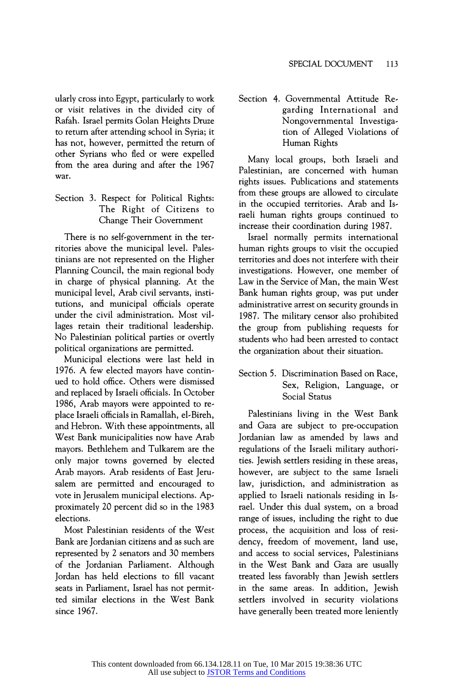ularly cross into Egypt, particularly to work or visit relatives in the divided city of Rafah. Israel permits Golan Heights Druze to return after attending school in Syria; it has not, however, permitted the return of other Syrians who fled or were expelled from the area during and after the 1967 war.

## Section 3. Respect for Political Rights: The Right of Citizens to Change Their Govemment

There is no self-govemment in the territories above the municipal level. Palestinians are not represented on the Higher Planning Council, the main regional body in charge of physical planning. At the municipal level, Arab civil servants, institutions, and municipal officials operate under the civil administration. Most villages retain their traditional leadership. No Palestinian political parties or overtly political organizations are permitted.

Municipal elections were last held in 1976. A few elected mayors have continued to hold office. Others were dismissed and replaced by Israeli officials. In October 1986, Arab mayors were appointed to replace Israeli officials in Ramallah, el-Bireh, and Hebron. With these appointments, all West Bank municipalities now have Arab mayors. Bethlehem and Tulkarem are the only major towns govemed by elected Arab mayors. Arab residents of East Jerusalem are permitted and encouraged to vote in Jerusalem municipal elections. Approximately 20 percent did so in the 1983 elections.

Most Palestinian residents of the West Bank are Jordanian citizens and as such are represented by 2 senators and 30 members of the Jordanian Parliament. Although Jordan has held elections to fill vacant seats in Parliament, Israel has not permitted similar elections in the West Bank since 1967.

## Section 4. Govemmental Attitude Regarding International and Nongovernmental Investigation of Alleged Violations of Human Rights

Many local groups, both Israeli and Palestinian, are concemed with human rights issues. Publications and statements from these groups are allowed to circulate in the occupied territories. Arab and Israeli human rights groups continued to increase their coordination during 1987.

Israel normally permits intemational human rights groups to visit the occupied territories and does not interfere with their investigations. However, one member of Law in the Service of Man, the main West Bank human rights group, was put under administrative arrest on security grounds in 1987. The military censor also prohibited the group from publishing requests for students who had been arrested to contact the organization about their situation.

## Section 5. Discrimination Based on Race, Sex, Religion, Language, or Social Status

Palestinians living in the West Bank and Gaza are subject to pre-occupation Jordanian law as amended by laws and regulations of the Israeli military authorities. Jewish settlers residing in these areas, however, are subject to the same Israeli law, jurisdiction, and administration as applied to Israeli nationals residing in Israel. Under this dual system, on a broad range of issues, including the right to due process, the acquisition and loss of residency, freedom of movement, land use, and access to social services, Palestinians in the West Bank and Gaza are usually treated less favorably than Jewish settlers in the same areas. In addition, Jewish settlers involved in security violations have generally been treated more leniently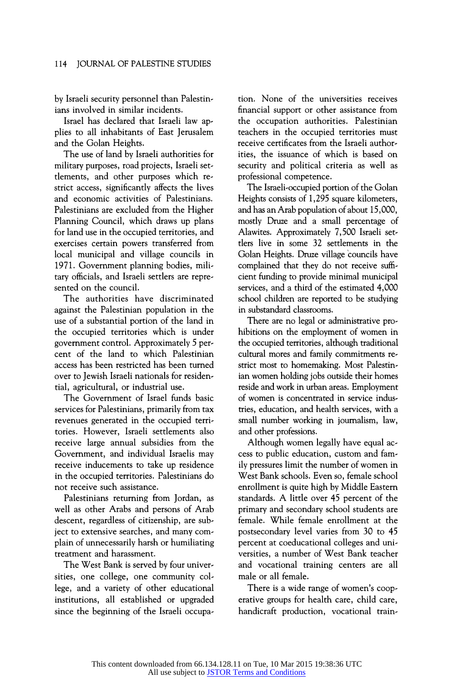by Israeli security personnel than Palestinians involved in similar incidents.

Israel has declared that Israeli law applies to all inhabitants of East Jerusalem and the Golan Heights.

The use of land by Israeli authorities for military purposes, road projects, Israeli settlements, and other purposes which restrict access, significantly affects the lives and economic activities of Palestinians. Palestinians are excluded from the Higher Planning Council, which draws up plans for land use in the occupied territories, and exercises certain powers transferred from local municipal and village councils in 1971. Government planning bodies, military officials, and Israeli settlers are represented on the council.

The authorities have discriminated against the Palestinian population in the use of a substantial portion of the land in the occupied territories which is under govemment control. Approximately 5 percent of the land to which Palestinian access has been restricted has been tumed over to Jewish Israeli nationals for residential, agricultural, or industrial use.

The Govemment of Israel funds basic services for Palestinians, primarily from tax revenues generated in the occupied territories. However, Israeli settlements also receive large annual subsidies from the Govemment, and individual Israelis may receive inducements to take up residence in the occupied territories. Palestinians do not receive such assistance.

Palestinians retuming from Jordan, as well as other Arabs and persons of Arab descent, regardless of citizenship, are subject to extensive searches, and many complain of unnecessarily harsh or humiliating treatment and harassment.

The West Bank is served by four universities, one college, one community college, and a variety of other educational institutions, all established or upgraded since the beginning of the Israeli occupation. None of the universities receives financial support or other assistance from the occupation authorities. Palestinian teachers in the occupied territories must receive certificates from the Israeli authorities, the issuance of which is based on security and political criteria as well as professional competence.

The Israeli-occupied portion of the Golan Heights consists of 1,295 square kilometers, and has an Arab population of about 15,000, mostly Druze and a small percentage of Alawites. Approximately 7,500 Israeli settlers live in some 32 settlements in the Golan Heights. Druze village councils have complained that they do not receive sufficient funding to provide minimal municipal services, and a third of the estimated 4,000 school children are reported to be studying in substandard classrooms.

There are no legal or administrative prohibitions on the employment of women in the occupied territories, although traditional cultural mores and family commitments restrict most to homemaking. Most Palestinian women holding jobs outside their homes reside and work in urban areas. Employment of women is concentrated in service industries, education, and health services, with a small number working in journalism, law, and other professions.

Although women legally have equal access to public education, custom and family pressures limit the number of women in West Bank schools. Even so, female school enrollment is quite high by Middle Eastem standards. A little over 45 percent of the primary and secondary school students are female. While female enrollment at the postsecondary level varies from 30 to 45 percent at coeducational colleges and universities, a number of West Bank teacher and vocational training centers are all male or all female.

There is a wide range of women's cooperative groups for health care, child care, handicraft production, vocational train-